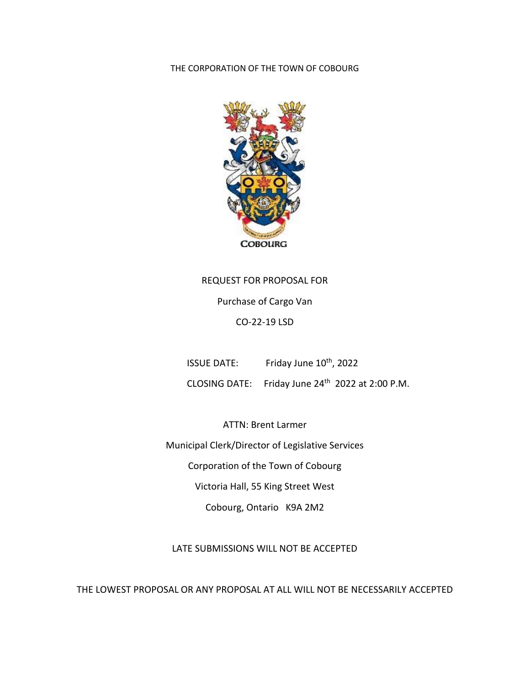THE CORPORATION OF THE TOWN OF COBOURG



REQUEST FOR PROPOSAL FOR Purchase of Cargo Van CO-22-19 LSD

ISSUE DATE: Friday June 10<sup>th</sup>, 2022

CLOSING DATE: Friday June 24th 2022 at 2:00 P.M.

ATTN: Brent Larmer Municipal Clerk/Director of Legislative Services Corporation of the Town of Cobourg Victoria Hall, 55 King Street West Cobourg, Ontario K9A 2M2

LATE SUBMISSIONS WILL NOT BE ACCEPTED

THE LOWEST PROPOSAL OR ANY PROPOSAL AT ALL WILL NOT BE NECESSARILY ACCEPTED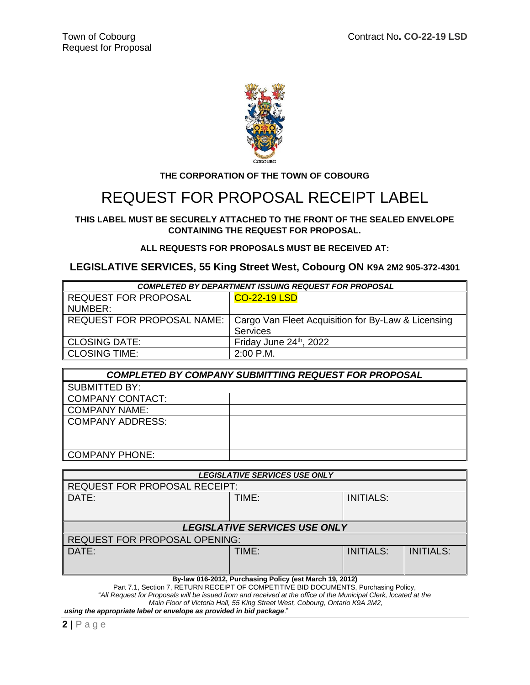

#### **THE CORPORATION OF THE TOWN OF COBOURG**

# REQUEST FOR PROPOSAL RECEIPT LABEL

#### **THIS LABEL MUST BE SECURELY ATTACHED TO THE FRONT OF THE SEALED ENVELOPE CONTAINING THE REQUEST FOR PROPOSAL.**

#### **ALL REQUESTS FOR PROPOSALS MUST BE RECEIVED AT:**

#### **LEGISLATIVE SERVICES, 55 King Street West, Cobourg ON K9A 2M2 905-372-4301**

| <b>COMPLETED BY DEPARTMENT ISSUING REQUEST FOR PROPOSAL</b> |                                                    |  |  |  |
|-------------------------------------------------------------|----------------------------------------------------|--|--|--|
| <b>REQUEST FOR PROPOSAL</b>                                 | <b>CO-22-19 LSD</b>                                |  |  |  |
| NUMBER:                                                     |                                                    |  |  |  |
| <b>REQUEST FOR PROPOSAL NAME:</b>                           | Cargo Van Fleet Acquisition for By-Law & Licensing |  |  |  |
|                                                             | <b>Services</b>                                    |  |  |  |
| <b>CLOSING DATE:</b>                                        | Friday June $24th$ , 2022                          |  |  |  |
| <b>CLOSING TIME:</b>                                        | $2:00$ P.M.                                        |  |  |  |

| <b>COMPLETED BY COMPANY SUBMITTING REQUEST FOR PROPOSAL</b> |  |  |  |
|-------------------------------------------------------------|--|--|--|
| <b>SUBMITTED BY:</b>                                        |  |  |  |
| COMPANY CONTACT:                                            |  |  |  |
| <b>COMPANY NAME:</b>                                        |  |  |  |
| COMPANY ADDRESS:                                            |  |  |  |
|                                                             |  |  |  |
|                                                             |  |  |  |
| <b>COMPANY PHONE:</b>                                       |  |  |  |

| <b>LEGISLATIVE SERVICES USE ONLY</b>                    |       |                  |                  |  |  |
|---------------------------------------------------------|-------|------------------|------------------|--|--|
| <b>REQUEST FOR PROPOSAL RECEIPT:</b>                    |       |                  |                  |  |  |
| DATE:                                                   | TIME: | <b>INITIALS:</b> |                  |  |  |
|                                                         |       |                  |                  |  |  |
|                                                         |       |                  |                  |  |  |
| <b>LEGISLATIVE SERVICES USE ONLY</b>                    |       |                  |                  |  |  |
| <b>REQUEST FOR PROPOSAL OPENING:</b>                    |       |                  |                  |  |  |
| DATE:                                                   | TIME: | <b>INITIALS:</b> | <b>INITIALS:</b> |  |  |
|                                                         |       |                  |                  |  |  |
|                                                         |       |                  |                  |  |  |
| By-law 016-2012, Purchasing Policy (est March 19, 2012) |       |                  |                  |  |  |

Part 7.1, Section 7, RETURN RECEIPT OF COMPETITIVE BID DOCUMENTS, Purchasing Policy, "*All Request for Proposals will be issued from and received at the office of the Municipal Clerk, located at the Main Floor of Victoria Hall, 55 King Street West, Cobourg, Ontario K9A 2M2, using the appropriate label or envelope as provided in bid package*."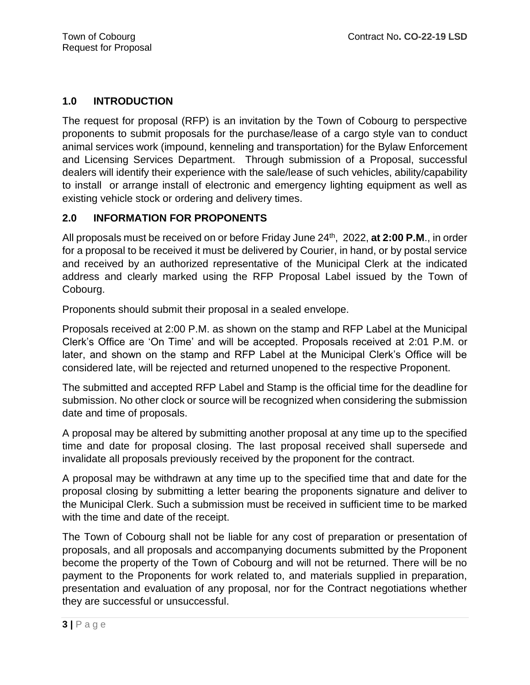# **1.0 INTRODUCTION**

The request for proposal (RFP) is an invitation by the Town of Cobourg to perspective proponents to submit proposals for the purchase/lease of a cargo style van to conduct animal services work (impound, kenneling and transportation) for the Bylaw Enforcement and Licensing Services Department. Through submission of a Proposal, successful dealers will identify their experience with the sale/lease of such vehicles, ability/capability to install or arrange install of electronic and emergency lighting equipment as well as existing vehicle stock or ordering and delivery times.

# **2.0 INFORMATION FOR PROPONENTS**

All proposals must be received on or before Friday June 24<sup>th</sup>, 2022, at 2:00 P.M., in order for a proposal to be received it must be delivered by Courier, in hand, or by postal service and received by an authorized representative of the Municipal Clerk at the indicated address and clearly marked using the RFP Proposal Label issued by the Town of Cobourg.

Proponents should submit their proposal in a sealed envelope.

Proposals received at 2:00 P.M. as shown on the stamp and RFP Label at the Municipal Clerk's Office are 'On Time' and will be accepted. Proposals received at 2:01 P.M. or later, and shown on the stamp and RFP Label at the Municipal Clerk's Office will be considered late, will be rejected and returned unopened to the respective Proponent.

The submitted and accepted RFP Label and Stamp is the official time for the deadline for submission. No other clock or source will be recognized when considering the submission date and time of proposals.

A proposal may be altered by submitting another proposal at any time up to the specified time and date for proposal closing. The last proposal received shall supersede and invalidate all proposals previously received by the proponent for the contract.

A proposal may be withdrawn at any time up to the specified time that and date for the proposal closing by submitting a letter bearing the proponents signature and deliver to the Municipal Clerk. Such a submission must be received in sufficient time to be marked with the time and date of the receipt.

The Town of Cobourg shall not be liable for any cost of preparation or presentation of proposals, and all proposals and accompanying documents submitted by the Proponent become the property of the Town of Cobourg and will not be returned. There will be no payment to the Proponents for work related to, and materials supplied in preparation, presentation and evaluation of any proposal, nor for the Contract negotiations whether they are successful or unsuccessful.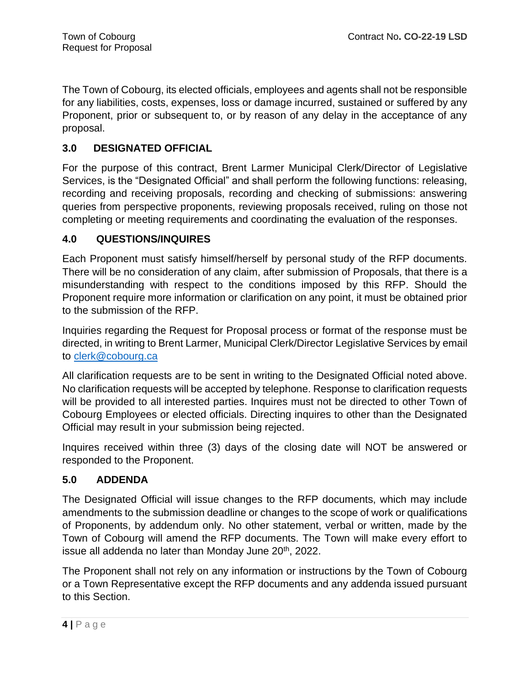The Town of Cobourg, its elected officials, employees and agents shall not be responsible for any liabilities, costs, expenses, loss or damage incurred, sustained or suffered by any Proponent, prior or subsequent to, or by reason of any delay in the acceptance of any proposal.

# **3.0 DESIGNATED OFFICIAL**

For the purpose of this contract, Brent Larmer Municipal Clerk/Director of Legislative Services, is the "Designated Official" and shall perform the following functions: releasing, recording and receiving proposals, recording and checking of submissions: answering queries from perspective proponents, reviewing proposals received, ruling on those not completing or meeting requirements and coordinating the evaluation of the responses.

# **4.0 QUESTIONS/INQUIRES**

Each Proponent must satisfy himself/herself by personal study of the RFP documents. There will be no consideration of any claim, after submission of Proposals, that there is a misunderstanding with respect to the conditions imposed by this RFP. Should the Proponent require more information or clarification on any point, it must be obtained prior to the submission of the RFP.

Inquiries regarding the Request for Proposal process or format of the response must be directed, in writing to Brent Larmer, Municipal Clerk/Director Legislative Services by email to [clerk@cobourg.ca](mailto:clerk@cobourg.ca)

All clarification requests are to be sent in writing to the Designated Official noted above. No clarification requests will be accepted by telephone. Response to clarification requests will be provided to all interested parties. Inquires must not be directed to other Town of Cobourg Employees or elected officials. Directing inquires to other than the Designated Official may result in your submission being rejected.

Inquires received within three (3) days of the closing date will NOT be answered or responded to the Proponent.

# **5.0 ADDENDA**

The Designated Official will issue changes to the RFP documents, which may include amendments to the submission deadline or changes to the scope of work or qualifications of Proponents, by addendum only. No other statement, verbal or written, made by the Town of Cobourg will amend the RFP documents. The Town will make every effort to issue all addenda no later than Monday June 20<sup>th</sup>, 2022.

The Proponent shall not rely on any information or instructions by the Town of Cobourg or a Town Representative except the RFP documents and any addenda issued pursuant to this Section.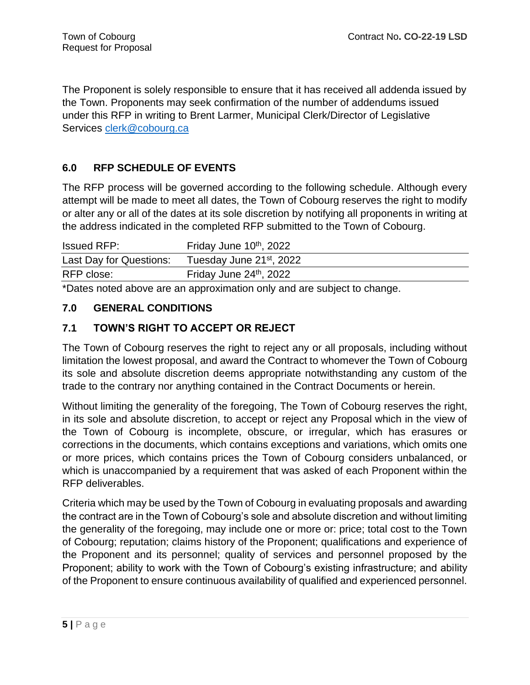The Proponent is solely responsible to ensure that it has received all addenda issued by the Town. Proponents may seek confirmation of the number of addendums issued under this RFP in writing to Brent Larmer, Municipal Clerk/Director of Legislative Services [clerk@cobourg.ca](mailto:clerk@cobourg.ca)

# **6.0 RFP SCHEDULE OF EVENTS**

The RFP process will be governed according to the following schedule. Although every attempt will be made to meet all dates, the Town of Cobourg reserves the right to modify or alter any or all of the dates at its sole discretion by notifying all proponents in writing at the address indicated in the completed RFP submitted to the Town of Cobourg.

| <b>Issued RFP:</b>      | Friday June 10 <sup>th</sup> , 2022  |
|-------------------------|--------------------------------------|
| Last Day for Questions: | Tuesday June 21 <sup>st</sup> , 2022 |
| RFP close:              | Friday June 24 <sup>th</sup> , 2022  |

\*Dates noted above are an approximation only and are subject to change.

# **7.0 GENERAL CONDITIONS**

# **7.1 TOWN'S RIGHT TO ACCEPT OR REJECT**

The Town of Cobourg reserves the right to reject any or all proposals, including without limitation the lowest proposal, and award the Contract to whomever the Town of Cobourg its sole and absolute discretion deems appropriate notwithstanding any custom of the trade to the contrary nor anything contained in the Contract Documents or herein.

Without limiting the generality of the foregoing, The Town of Cobourg reserves the right, in its sole and absolute discretion, to accept or reject any Proposal which in the view of the Town of Cobourg is incomplete, obscure, or irregular, which has erasures or corrections in the documents, which contains exceptions and variations, which omits one or more prices, which contains prices the Town of Cobourg considers unbalanced, or which is unaccompanied by a requirement that was asked of each Proponent within the RFP deliverables.

Criteria which may be used by the Town of Cobourg in evaluating proposals and awarding the contract are in the Town of Cobourg's sole and absolute discretion and without limiting the generality of the foregoing, may include one or more or: price; total cost to the Town of Cobourg; reputation; claims history of the Proponent; qualifications and experience of the Proponent and its personnel; quality of services and personnel proposed by the Proponent; ability to work with the Town of Cobourg's existing infrastructure; and ability of the Proponent to ensure continuous availability of qualified and experienced personnel.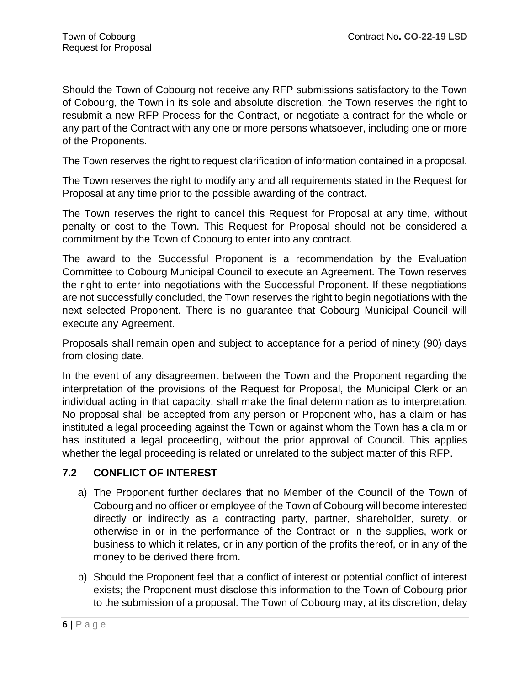Should the Town of Cobourg not receive any RFP submissions satisfactory to the Town of Cobourg, the Town in its sole and absolute discretion, the Town reserves the right to resubmit a new RFP Process for the Contract, or negotiate a contract for the whole or any part of the Contract with any one or more persons whatsoever, including one or more of the Proponents.

The Town reserves the right to request clarification of information contained in a proposal.

The Town reserves the right to modify any and all requirements stated in the Request for Proposal at any time prior to the possible awarding of the contract.

The Town reserves the right to cancel this Request for Proposal at any time, without penalty or cost to the Town. This Request for Proposal should not be considered a commitment by the Town of Cobourg to enter into any contract.

The award to the Successful Proponent is a recommendation by the Evaluation Committee to Cobourg Municipal Council to execute an Agreement. The Town reserves the right to enter into negotiations with the Successful Proponent. If these negotiations are not successfully concluded, the Town reserves the right to begin negotiations with the next selected Proponent. There is no guarantee that Cobourg Municipal Council will execute any Agreement.

Proposals shall remain open and subject to acceptance for a period of ninety (90) days from closing date.

In the event of any disagreement between the Town and the Proponent regarding the interpretation of the provisions of the Request for Proposal, the Municipal Clerk or an individual acting in that capacity, shall make the final determination as to interpretation. No proposal shall be accepted from any person or Proponent who, has a claim or has instituted a legal proceeding against the Town or against whom the Town has a claim or has instituted a legal proceeding, without the prior approval of Council. This applies whether the legal proceeding is related or unrelated to the subject matter of this RFP.

# **7.2 CONFLICT OF INTEREST**

- a) The Proponent further declares that no Member of the Council of the Town of Cobourg and no officer or employee of the Town of Cobourg will become interested directly or indirectly as a contracting party, partner, shareholder, surety, or otherwise in or in the performance of the Contract or in the supplies, work or business to which it relates, or in any portion of the profits thereof, or in any of the money to be derived there from.
- b) Should the Proponent feel that a conflict of interest or potential conflict of interest exists; the Proponent must disclose this information to the Town of Cobourg prior to the submission of a proposal. The Town of Cobourg may, at its discretion, delay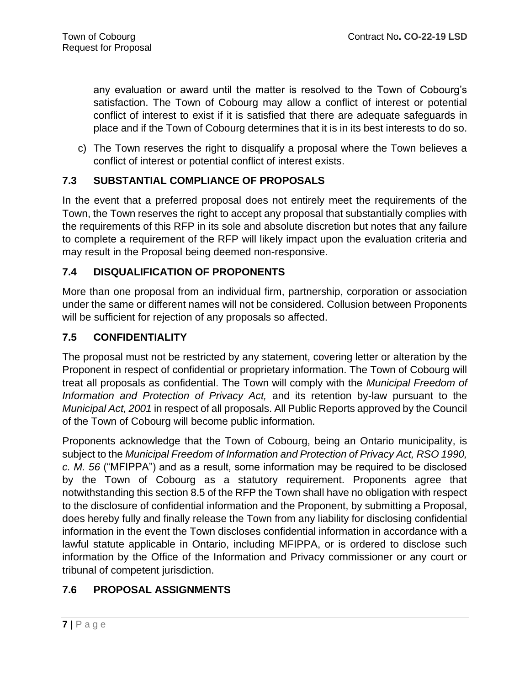any evaluation or award until the matter is resolved to the Town of Cobourg's satisfaction. The Town of Cobourg may allow a conflict of interest or potential conflict of interest to exist if it is satisfied that there are adequate safeguards in place and if the Town of Cobourg determines that it is in its best interests to do so.

c) The Town reserves the right to disqualify a proposal where the Town believes a conflict of interest or potential conflict of interest exists.

# **7.3 SUBSTANTIAL COMPLIANCE OF PROPOSALS**

In the event that a preferred proposal does not entirely meet the requirements of the Town, the Town reserves the right to accept any proposal that substantially complies with the requirements of this RFP in its sole and absolute discretion but notes that any failure to complete a requirement of the RFP will likely impact upon the evaluation criteria and may result in the Proposal being deemed non-responsive.

# **7.4 DISQUALIFICATION OF PROPONENTS**

More than one proposal from an individual firm, partnership, corporation or association under the same or different names will not be considered. Collusion between Proponents will be sufficient for rejection of any proposals so affected.

# **7.5 CONFIDENTIALITY**

The proposal must not be restricted by any statement, covering letter or alteration by the Proponent in respect of confidential or proprietary information. The Town of Cobourg will treat all proposals as confidential. The Town will comply with the *Municipal Freedom of Information and Protection of Privacy Act,* and its retention by-law pursuant to the *Municipal Act, 2001* in respect of all proposals. All Public Reports approved by the Council of the Town of Cobourg will become public information.

Proponents acknowledge that the Town of Cobourg, being an Ontario municipality, is subject to the *Municipal Freedom of Information and Protection of Privacy Act, RSO 1990, c. M. 56* ("MFIPPA") and as a result, some information may be required to be disclosed by the Town of Cobourg as a statutory requirement. Proponents agree that notwithstanding this section 8.5 of the RFP the Town shall have no obligation with respect to the disclosure of confidential information and the Proponent, by submitting a Proposal, does hereby fully and finally release the Town from any liability for disclosing confidential information in the event the Town discloses confidential information in accordance with a lawful statute applicable in Ontario, including MFIPPA, or is ordered to disclose such information by the Office of the Information and Privacy commissioner or any court or tribunal of competent jurisdiction.

# **7.6 PROPOSAL ASSIGNMENTS**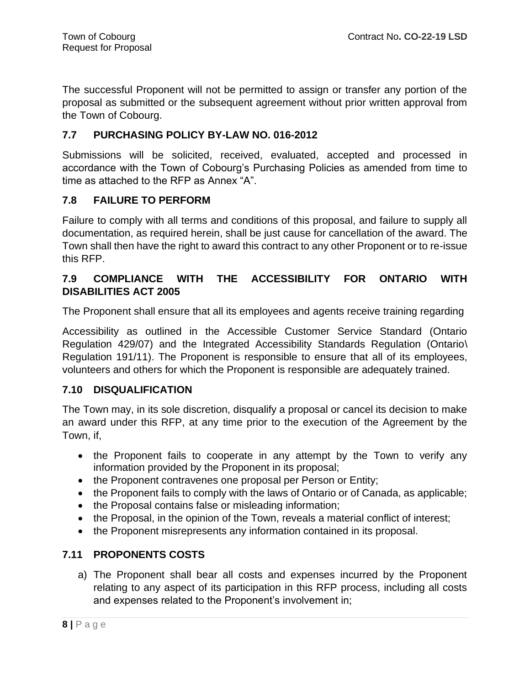The successful Proponent will not be permitted to assign or transfer any portion of the proposal as submitted or the subsequent agreement without prior written approval from the Town of Cobourg.

### **7.7 PURCHASING POLICY BY-LAW NO. 016-2012**

Submissions will be solicited, received, evaluated, accepted and processed in accordance with the Town of Cobourg's Purchasing Policies as amended from time to time as attached to the RFP as Annex "A".

### **7.8 FAILURE TO PERFORM**

Failure to comply with all terms and conditions of this proposal, and failure to supply all documentation, as required herein, shall be just cause for cancellation of the award. The Town shall then have the right to award this contract to any other Proponent or to re-issue this RFP.

# **7.9 COMPLIANCE WITH THE ACCESSIBILITY FOR ONTARIO WITH DISABILITIES ACT 2005**

The Proponent shall ensure that all its employees and agents receive training regarding

Accessibility as outlined in the Accessible Customer Service Standard (Ontario Regulation 429/07) and the Integrated Accessibility Standards Regulation (Ontario\ Regulation 191/11). The Proponent is responsible to ensure that all of its employees, volunteers and others for which the Proponent is responsible are adequately trained.

# **7.10 DISQUALIFICATION**

The Town may, in its sole discretion, disqualify a proposal or cancel its decision to make an award under this RFP, at any time prior to the execution of the Agreement by the Town, if,

- the Proponent fails to cooperate in any attempt by the Town to verify any information provided by the Proponent in its proposal;
- the Proponent contravenes one proposal per Person or Entity;
- the Proponent fails to comply with the laws of Ontario or of Canada, as applicable;
- the Proposal contains false or misleading information;
- the Proposal, in the opinion of the Town, reveals a material conflict of interest;
- the Proponent misrepresents any information contained in its proposal.

# **7.11 PROPONENTS COSTS**

a) The Proponent shall bear all costs and expenses incurred by the Proponent relating to any aspect of its participation in this RFP process, including all costs and expenses related to the Proponent's involvement in;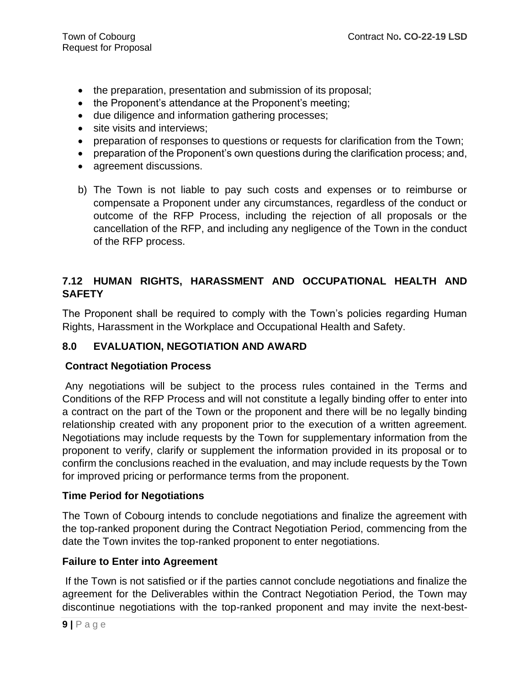- the preparation, presentation and submission of its proposal;
- the Proponent's attendance at the Proponent's meeting;
- due diligence and information gathering processes;
- site visits and interviews;
- preparation of responses to questions or requests for clarification from the Town;
- preparation of the Proponent's own questions during the clarification process; and,
- agreement discussions.
- b) The Town is not liable to pay such costs and expenses or to reimburse or compensate a Proponent under any circumstances, regardless of the conduct or outcome of the RFP Process, including the rejection of all proposals or the cancellation of the RFP, and including any negligence of the Town in the conduct of the RFP process.

# **7.12 HUMAN RIGHTS, HARASSMENT AND OCCUPATIONAL HEALTH AND SAFETY**

The Proponent shall be required to comply with the Town's policies regarding Human Rights, Harassment in the Workplace and Occupational Health and Safety.

# **8.0 EVALUATION, NEGOTIATION AND AWARD**

# **Contract Negotiation Process**

Any negotiations will be subject to the process rules contained in the Terms and Conditions of the RFP Process and will not constitute a legally binding offer to enter into a contract on the part of the Town or the proponent and there will be no legally binding relationship created with any proponent prior to the execution of a written agreement. Negotiations may include requests by the Town for supplementary information from the proponent to verify, clarify or supplement the information provided in its proposal or to confirm the conclusions reached in the evaluation, and may include requests by the Town for improved pricing or performance terms from the proponent.

# **Time Period for Negotiations**

The Town of Cobourg intends to conclude negotiations and finalize the agreement with the top-ranked proponent during the Contract Negotiation Period, commencing from the date the Town invites the top-ranked proponent to enter negotiations.

#### **Failure to Enter into Agreement**

If the Town is not satisfied or if the parties cannot conclude negotiations and finalize the agreement for the Deliverables within the Contract Negotiation Period, the Town may discontinue negotiations with the top-ranked proponent and may invite the next-best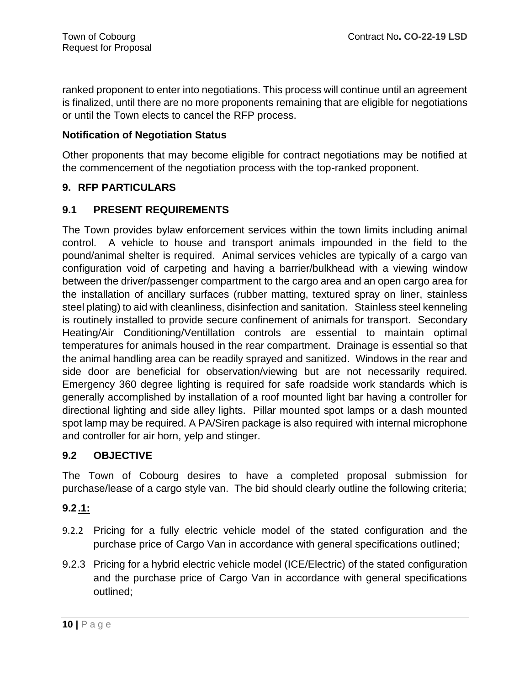ranked proponent to enter into negotiations. This process will continue until an agreement is finalized, until there are no more proponents remaining that are eligible for negotiations or until the Town elects to cancel the RFP process.

### **Notification of Negotiation Status**

Other proponents that may become eligible for contract negotiations may be notified at the commencement of the negotiation process with the top-ranked proponent.

### **9. RFP PARTICULARS**

### **9.1 PRESENT REQUIREMENTS**

The Town provides bylaw enforcement services within the town limits including animal control. A vehicle to house and transport animals impounded in the field to the pound/animal shelter is required. Animal services vehicles are typically of a cargo van configuration void of carpeting and having a barrier/bulkhead with a viewing window between the driver/passenger compartment to the cargo area and an open cargo area for the installation of ancillary surfaces (rubber matting, textured spray on liner, stainless steel plating) to aid with cleanliness, disinfection and sanitation. Stainless steel kenneling is routinely installed to provide secure confinement of animals for transport. Secondary Heating/Air Conditioning/Ventillation controls are essential to maintain optimal temperatures for animals housed in the rear compartment. Drainage is essential so that the animal handling area can be readily sprayed and sanitized. Windows in the rear and side door are beneficial for observation/viewing but are not necessarily required. Emergency 360 degree lighting is required for safe roadside work standards which is generally accomplished by installation of a roof mounted light bar having a controller for directional lighting and side alley lights. Pillar mounted spot lamps or a dash mounted spot lamp may be required. A PA/Siren package is also required with internal microphone and controller for air horn, yelp and stinger.

# **9.2 OBJECTIVE**

The Town of Cobourg desires to have a completed proposal submission for purchase/lease of a cargo style van. The bid should clearly outline the following criteria;

# **9.2.1:**

- 9.2.2 Pricing for a fully electric vehicle model of the stated configuration and the purchase price of Cargo Van in accordance with general specifications outlined;
- 9.2.3 Pricing for a hybrid electric vehicle model (ICE/Electric) of the stated configuration and the purchase price of Cargo Van in accordance with general specifications outlined;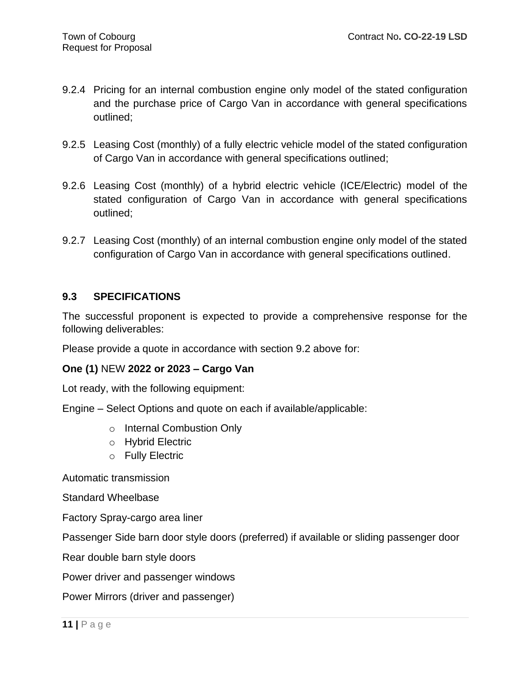- 9.2.4 Pricing for an internal combustion engine only model of the stated configuration and the purchase price of Cargo Van in accordance with general specifications outlined;
- 9.2.5 Leasing Cost (monthly) of a fully electric vehicle model of the stated configuration of Cargo Van in accordance with general specifications outlined;
- 9.2.6 Leasing Cost (monthly) of a hybrid electric vehicle (ICE/Electric) model of the stated configuration of Cargo Van in accordance with general specifications outlined;
- 9.2.7 Leasing Cost (monthly) of an internal combustion engine only model of the stated configuration of Cargo Van in accordance with general specifications outlined.

# **9.3 SPECIFICATIONS**

The successful proponent is expected to provide a comprehensive response for the following deliverables:

Please provide a quote in accordance with section 9.2 above for:

#### **One (1)** NEW **2022 or 2023 – Cargo Van**

Lot ready, with the following equipment:

Engine – Select Options and quote on each if available/applicable:

- o Internal Combustion Only
- o Hybrid Electric
- o Fully Electric

Automatic transmission

Standard Wheelbase

Factory Spray-cargo area liner

Passenger Side barn door style doors (preferred) if available or sliding passenger door

Rear double barn style doors

Power driver and passenger windows

Power Mirrors (driver and passenger)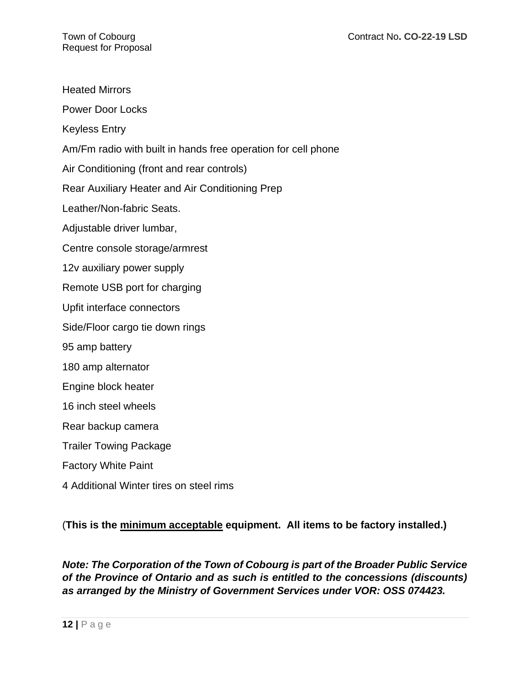| <b>Heated Mirrors</b>                                         |
|---------------------------------------------------------------|
| <b>Power Door Locks</b>                                       |
| <b>Keyless Entry</b>                                          |
| Am/Fm radio with built in hands free operation for cell phone |
| Air Conditioning (front and rear controls)                    |
| Rear Auxiliary Heater and Air Conditioning Prep               |
| Leather/Non-fabric Seats.                                     |
| Adjustable driver lumbar,                                     |
| Centre console storage/armrest                                |
| 12v auxiliary power supply                                    |
| Remote USB port for charging                                  |
| Upfit interface connectors                                    |
| Side/Floor cargo tie down rings                               |
| 95 amp battery                                                |
| 180 amp alternator                                            |
| Engine block heater                                           |
| 16 inch steel wheels                                          |
| Rear backup camera                                            |
| <b>Trailer Towing Package</b>                                 |
| <b>Factory White Paint</b>                                    |
| 4 Additional Winter tires on steel rims                       |
|                                                               |

(**This is the minimum acceptable equipment. All items to be factory installed.)**

*Note: The Corporation of the Town of Cobourg is part of the Broader Public Service of the Province of Ontario and as such is entitled to the concessions (discounts) as arranged by the Ministry of Government Services under VOR: OSS 074423.*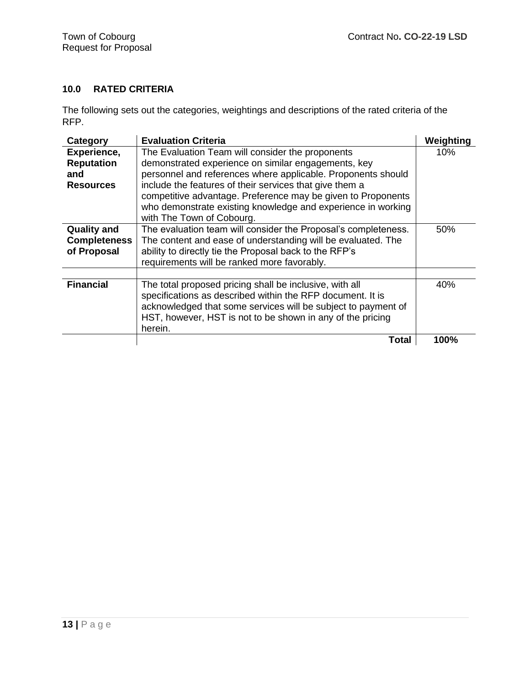# **10.0 RATED CRITERIA**

The following sets out the categories, weightings and descriptions of the rated criteria of the RFP.

| Category            | <b>Evaluation Criteria</b>                                     | Weighting |
|---------------------|----------------------------------------------------------------|-----------|
| Experience,         | The Evaluation Team will consider the proponents               | 10%       |
| <b>Reputation</b>   | demonstrated experience on similar engagements, key            |           |
| and                 | personnel and references where applicable. Proponents should   |           |
| <b>Resources</b>    | include the features of their services that give them a        |           |
|                     | competitive advantage. Preference may be given to Proponents   |           |
|                     | who demonstrate existing knowledge and experience in working   |           |
|                     | with The Town of Cobourg.                                      |           |
| <b>Quality and</b>  | The evaluation team will consider the Proposal's completeness. | 50%       |
| <b>Completeness</b> | The content and ease of understanding will be evaluated. The   |           |
| of Proposal         | ability to directly tie the Proposal back to the RFP's         |           |
|                     | requirements will be ranked more favorably.                    |           |
|                     |                                                                |           |
| <b>Financial</b>    | The total proposed pricing shall be inclusive, with all        | 40%       |
|                     | specifications as described within the RFP document. It is     |           |
|                     | acknowledged that some services will be subject to payment of  |           |
|                     | HST, however, HST is not to be shown in any of the pricing     |           |
|                     | herein.                                                        |           |
|                     | Total                                                          | 100%      |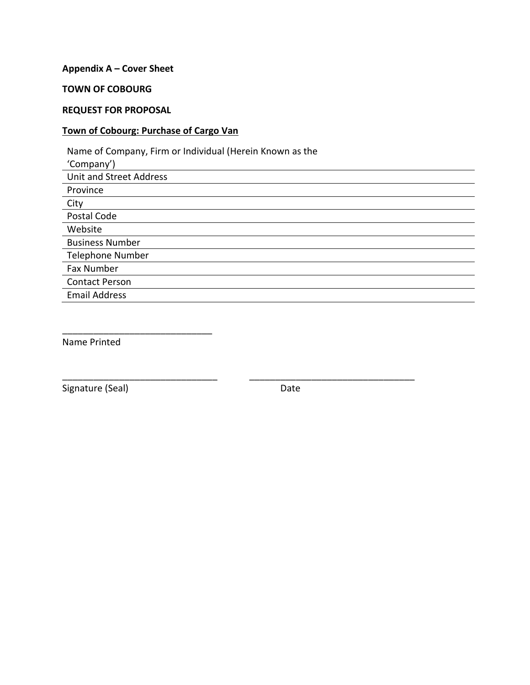#### **Appendix A – Cover Sheet**

#### **TOWN OF COBOURG**

#### **REQUEST FOR PROPOSAL**

#### **Town of Cobourg: Purchase of Cargo Van**

Name of Company, Firm or Individual (Herein Known as the 'Company') Unit and Street Address Province City Postal Code Website Business Number Telephone Number Fax Number Contact Person Email Address

\_\_\_\_\_\_\_\_\_\_\_\_\_\_\_\_\_\_\_\_\_\_\_\_\_\_\_\_\_\_ \_\_\_\_\_\_\_\_\_\_\_\_\_\_\_\_\_\_\_\_\_\_\_\_\_\_\_\_\_\_\_\_

Name Printed

\_\_\_\_\_\_\_\_\_\_\_\_\_\_\_\_\_\_\_\_\_\_\_\_\_\_\_\_\_

Signature (Seal) and the contract of the Date of Date Date